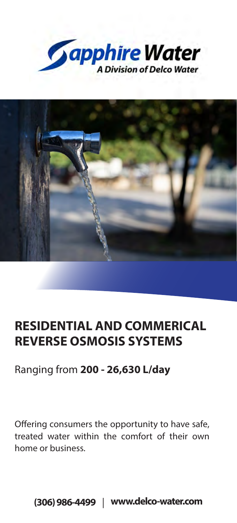



# **RESIDENTIAL AND COMMERICAL REVERSE OSMOSIS SYSTEMS**

### Ranging from **200 - 26,630 L/day**

Offering consumers the opportunity to have safe, treated water within the comfort of their own home or business.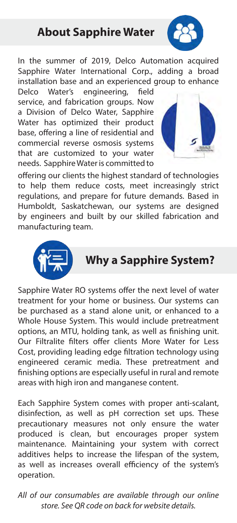

In the summer of 2019, Delco Automation acquired Sapphire Water International Corp., adding a broad installation base and an experienced group to enhance

Delco Water's engineering, field service, and fabrication groups. Now a Division of Delco Water, Sapphire Water has optimized their product base, offering a line of residential and commercial reverse osmosis systems that are customized to your water needs. Sapphire Water is committed to



offering our clients the highest standard of technologies to help them reduce costs, meet increasingly strict regulations, and prepare for future demands. Based in Humboldt, Saskatchewan, our systems are designed by engineers and built by our skilled fabrication and manufacturing team.



# **Why a Sapphire System?**

Sapphire Water RO systems offer the next level of water treatment for your home or business. Our systems can be purchased as a stand alone unit, or enhanced to a Whole House System. This would include pretreatment options, an MTU, holding tank, as well as finishing unit. Our Filtralite filters offer clients More Water for Less Cost, providing leading edge filtration technology using engineered ceramic media. These pretreatment and finishing options are especially useful in rural and remote areas with high iron and manganese content.

Each Sapphire System comes with proper anti-scalant, disinfection, as well as pH correction set ups. These precautionary measures not only ensure the water produced is clean, but encourages proper system maintenance. Maintaining your system with correct additives helps to increase the lifespan of the system. as well as increases overall efficiency of the system's operation.

*All of our consumables are available through our online store. See QR code on back for website details.*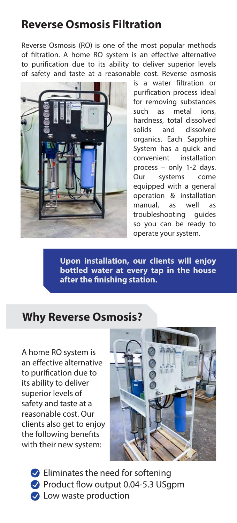### **Reverse Osmosis Filtration**

Reverse Osmosis (RO) is one of the most popular methods of filtration. A home RO system is an effective alternative to purification due to its ability to deliver superior levels of safety and taste at a reasonable cost. Reverse osmosis



is a water filtration or purification process ideal for removing substances such as metal ions, hardness, total dissolved solids and dissolved organics. Each Sapphire System has a quick and convenient installation process – only 1-2 days. Our systems come equipped with a general operation & installation manual, as well as troubleshooting guides so you can be ready to operate your system.

**Upon installation, our clients will enjoy bottled water at every tap in the house after the finishing station.**

### **Why Reverse Osmosis?**

A home RO system is an effective alternative to purification due to its ability to deliver superior levels of safety and taste at a reasonable cost. Our clients also get to enjoy the following benefits with their new system:



 $\bullet$  Eliminates the need for softening Product flow output 0.04-5.3 USgpm **C** Low waste production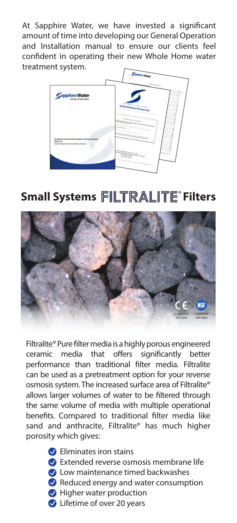At Sapphire Water, we have invested a significant amount of time into developing our General Operation and Installation manual to ensure our clients feel confident in operating their new Whole Home water treatment system.



# **Small Systems FILTRALITE<sup>®</sup> Filters**



Filtralite® Pure filter media is a highly porous engineered ceramic media that offers significantly better performance than traditional filter media. Filtralite can be used as a pretreatment option for your reverse osmosis system. The increased surface area of Filtralite® allows larger volumes of water to be filtered through the same volume of media with multiple operational benefits. Compared to traditional filter media like sand and anthracite, Filtralite® has much higher porosity which gives:

**C** Eliminates iron stains

- Extended reverse osmosis membrane life
- **C** Low maintenance timed backwashes
- Reduced energy and water consumption
- **Higher water production**
- Lifetime of over 20 years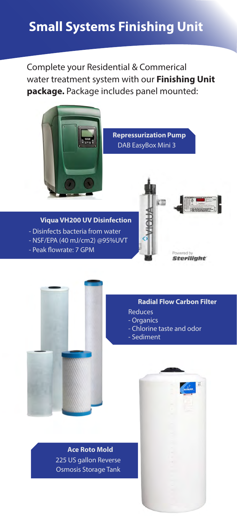## **Small Systems Finishing Unit**

Complete your Residential & Commerical water treatment system with our **Finishing Unit package.** Package includes panel mounted:



**Repressurization Pump** DAB EasyBox Mini 3

#### **Viqua VH200 UV Disinfection**

- Disinfects bacteria from water
- NSF/EPA (40 mJ/cm2) @95%UVT
- Peak flowrate: 7 GPM





#### **Radial Flow Carbon Filter**

- Reduces
- Organics
- Chlorine taste and odor
- Sediment

#### **Ace Roto Mold** 225 US gallon Reverse Osmosis Storage Tank